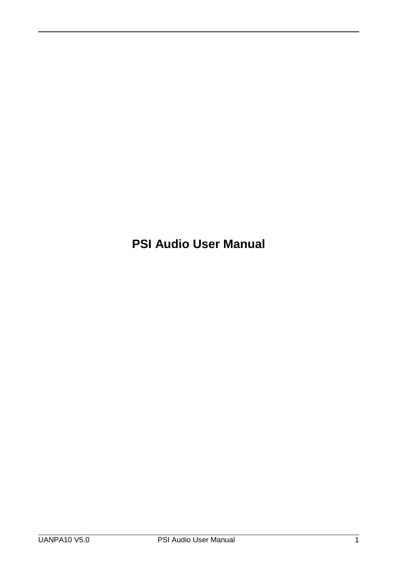**PSI Audio User Manual**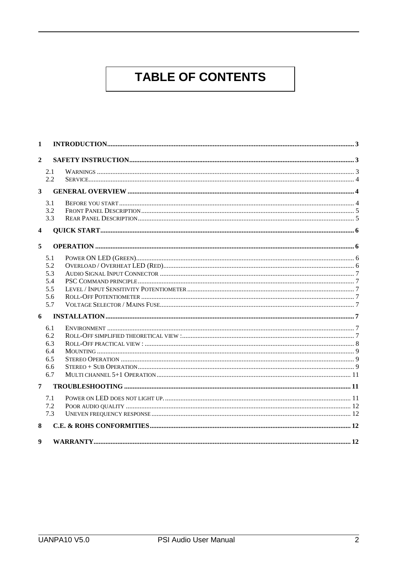# **TABLE OF CONTENTS**

| $\mathbf{1}$            |            |  |  |
|-------------------------|------------|--|--|
| $\overline{2}$          |            |  |  |
|                         | 2.1<br>2.2 |  |  |
| $\mathbf{3}$            |            |  |  |
|                         |            |  |  |
|                         | 3.1<br>3.2 |  |  |
|                         | 3.3        |  |  |
| $\overline{\mathbf{4}}$ |            |  |  |
| 5                       |            |  |  |
|                         | 5.1        |  |  |
|                         | 5.2        |  |  |
|                         | 5.3        |  |  |
|                         | 5.4        |  |  |
|                         | 5.5        |  |  |
|                         | 5.6        |  |  |
|                         | 5.7        |  |  |
| 6                       |            |  |  |
|                         | 6.1        |  |  |
|                         | 6.2        |  |  |
|                         | 6.3        |  |  |
|                         | 6.4        |  |  |
|                         | 6.5        |  |  |
|                         | 6.6<br>6.7 |  |  |
|                         |            |  |  |
| $\overline{7}$          |            |  |  |
|                         | 7.1        |  |  |
|                         | 7.2        |  |  |
|                         | 7.3        |  |  |
| 8                       |            |  |  |
| $\boldsymbol{9}$        |            |  |  |
|                         |            |  |  |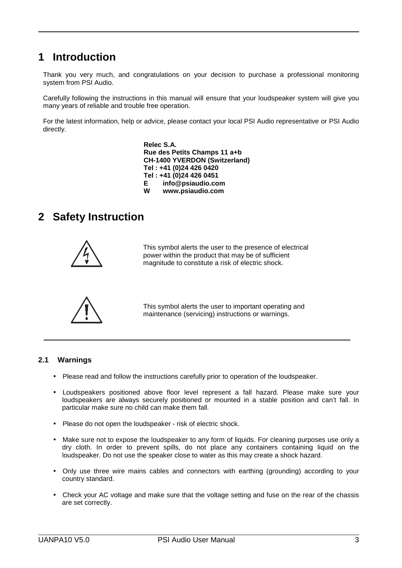# **1 Introduction**

 $\overline{a}$ 

Thank you very much, and congratulations on your decision to purchase a professional monitoring system from PSI Audio.

Carefully following the instructions in this manual will ensure that your loudspeaker system will give you many years of reliable and trouble free operation.

For the latest information, help or advice, please contact your local PSI Audio representative or PSI Audio directly.

> **Relec S.A. Rue des Petits Champs 11 a+b CH-1400 YVERDON (Switzerland) Tel : +41 (0)24 426 0420 Tel : +41 (0)24 426 0451 E info@psiaudio.com W www.psiaudio.com**

# **2 Safety Instruction**



This symbol alerts the user to the presence of electrical power within the product that may be of sufficient magnitude to constitute a risk of electric shock.



This symbol alerts the user to important operating and maintenance (servicing) instructions or warnings.

## **2.1 Warnings**

- Please read and follow the instructions carefully prior to operation of the loudspeaker.
- Loudspeakers positioned above floor level represent a fall hazard. Please make sure your loudspeakers are always securely positioned or mounted in a stable position and can't fall. In particular make sure no child can make them fall.
- Please do not open the loudspeaker risk of electric shock.
- Make sure not to expose the loudspeaker to any form of liquids. For cleaning purposes use only a dry cloth. In order to prevent spills, do not place any containers containing liquid on the loudspeaker. Do not use the speaker close to water as this may create a shock hazard.
- Only use three wire mains cables and connectors with earthing (grounding) according to your country standard.
- Check your AC voltage and make sure that the voltage setting and fuse on the rear of the chassis are set correctly.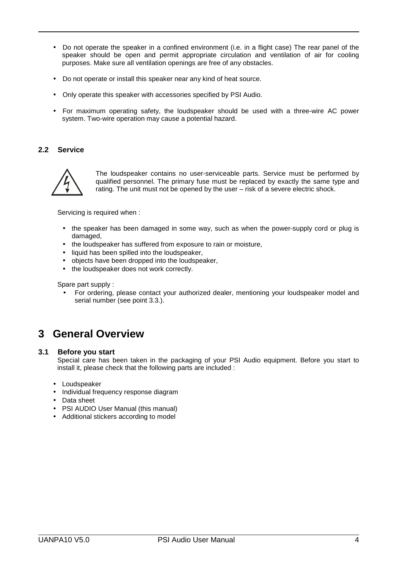- Do not operate the speaker in a confined environment (i.e. in a flight case) The rear panel of the speaker should be open and permit appropriate circulation and ventilation of air for cooling purposes. Make sure all ventilation openings are free of any obstacles.
- Do not operate or install this speaker near any kind of heat source.
- Only operate this speaker with accessories specified by PSI Audio.
- For maximum operating safety, the loudspeaker should be used with a three-wire AC power system. Two-wire operation may cause a potential hazard.

### **2.2 Service**

 $\overline{a}$ 



The loudspeaker contains no user-serviceable parts. Service must be performed by qualified personnel. The primary fuse must be replaced by exactly the same type and rating. The unit must not be opened by the user – risk of a severe electric shock.

Servicing is required when :

- the speaker has been damaged in some way, such as when the power-supply cord or plug is damaged,
- the loudspeaker has suffered from exposure to rain or moisture,
- liquid has been spilled into the loudspeaker,
- objects have been dropped into the loudspeaker,
- the loudspeaker does not work correctly.

Spare part supply :

• For ordering, please contact your authorized dealer, mentioning your loudspeaker model and serial number (see point 3.3.).

# **3 General Overview**

#### **3.1 Before you start**

Special care has been taken in the packaging of your PSI Audio equipment. Before you start to install it, please check that the following parts are included :

- Loudspeaker
- Individual frequency response diagram
- Data sheet
- PSI AUDIO User Manual (this manual)
- Additional stickers according to model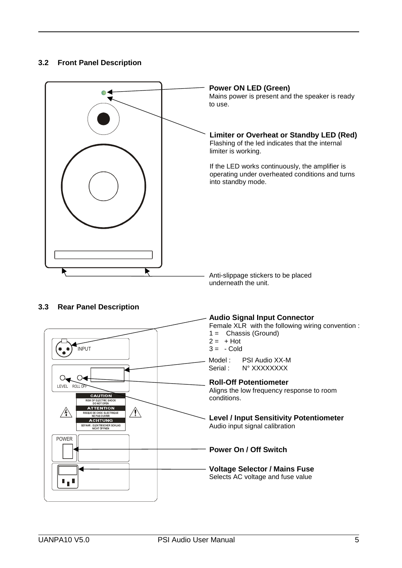# **3.2 Front Panel Description**

 $\overline{a}$ 

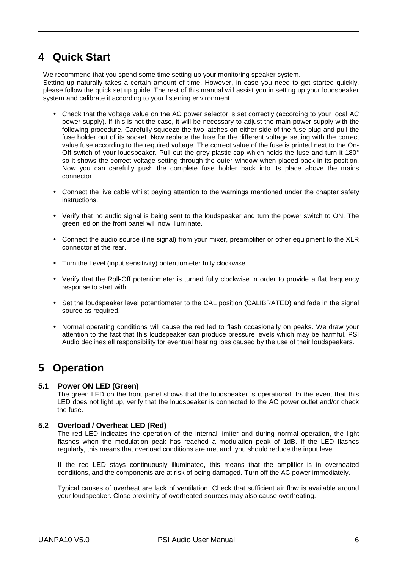# **4 Quick Start**

 $\overline{a}$ 

We recommend that you spend some time setting up your monitoring speaker system.

Setting up naturally takes a certain amount of time. However, in case you need to get started quickly, please follow the quick set up guide. The rest of this manual will assist you in setting up your loudspeaker system and calibrate it according to your listening environment.

- Check that the voltage value on the AC power selector is set correctly (according to your local AC power supply). If this is not the case, it will be necessary to adjust the main power supply with the following procedure. Carefully squeeze the two latches on either side of the fuse plug and pull the fuse holder out of its socket. Now replace the fuse for the different voltage setting with the correct value fuse according to the required voltage. The correct value of the fuse is printed next to the On-Off switch of your loudspeaker. Pull out the grey plastic cap which holds the fuse and turn it 180° so it shows the correct voltage setting through the outer window when placed back in its position. Now you can carefully push the complete fuse holder back into its place above the mains connector.
- Connect the live cable whilst paying attention to the warnings mentioned under the chapter safety instructions.
- Verify that no audio signal is being sent to the loudspeaker and turn the power switch to ON. The green led on the front panel will now illuminate.
- Connect the audio source (line signal) from your mixer, preamplifier or other equipment to the XLR connector at the rear.
- Turn the Level (input sensitivity) potentiometer fully clockwise.
- Verify that the Roll-Off potentiometer is turned fully clockwise in order to provide a flat frequency response to start with.
- Set the loudspeaker level potentiometer to the CAL position (CALIBRATED) and fade in the signal source as required.
- Normal operating conditions will cause the red led to flash occasionally on peaks. We draw your attention to the fact that this loudspeaker can produce pressure levels which may be harmful. PSI Audio declines all responsibility for eventual hearing loss caused by the use of their loudspeakers.

# **5 Operation**

#### **5.1 Power ON LED (Green)**

The green LED on the front panel shows that the loudspeaker is operational. In the event that this LED does not light up, verify that the loudspeaker is connected to the AC power outlet and/or check the fuse.

## **5.2 Overload / Overheat LED (Red)**

The red LED indicates the operation of the internal limiter and during normal operation, the light flashes when the modulation peak has reached a modulation peak of 1dB. If the LED flashes regularly, this means that overload conditions are met and you should reduce the input level.

If the red LED stays continuously illuminated, this means that the amplifier is in overheated conditions, and the components are at risk of being damaged. Turn off the AC power immediately.

Typical causes of overheat are lack of ventilation. Check that sufficient air flow is available around your loudspeaker. Close proximity of overheated sources may also cause overheating.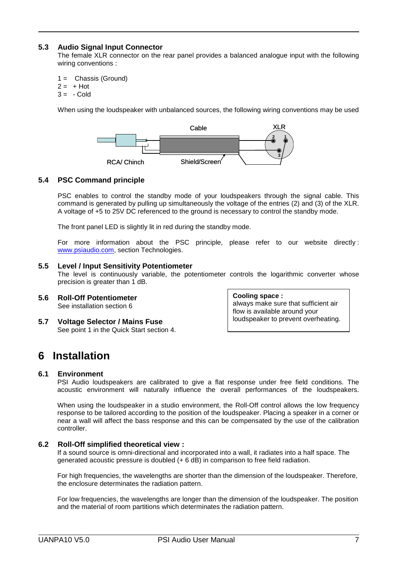### **5.3 Audio Signal Input Connector**

The female XLR connector on the rear panel provides a balanced analogue input with the following wiring conventions :

 $1 =$  Chassis (Ground)

 $2 = +$  Hot

 $\overline{a}$ 

 $3 = -$  Cold

When using the loudspeaker with unbalanced sources, the following wiring conventions may be used



## **5.4 PSC Command principle**

PSC enables to control the standby mode of your loudspeakers through the signal cable. This command is generated by pulling up simultaneously the voltage of the entries (2) and (3) of the XLR. A voltage of +5 to 25V DC referenced to the ground is necessary to control the standby mode.

The front panel LED is slightly lit in red during the standby mode.

For more information about the PSC principle, please refer to our website directly : www.psiaudio.com, section Technologies.

#### **5.5 Level / Input Sensitivity Potentiometer**

The level is continuously variable, the potentiometer controls the logarithmic converter whose precision is greater than 1 dB.

- **5.6 Roll-Off Potentiometer** See installation section 6
- **5.7 Voltage Selector / Mains Fuse** See point 1 in the Quick Start section 4.

**Cooling space :** always make sure that sufficient air flow is available around your loudspeaker to prevent overheating.

# **6 Installation**

#### **6.1 Environment**

PSI Audio loudspeakers are calibrated to give a flat response under free field conditions. The acoustic environment will naturally influence the overall performances of the loudspeakers.

When using the loudspeaker in a studio environment, the Roll-Off control allows the low frequency response to be tailored according to the position of the loudspeaker. Placing a speaker in a corner or near a wall will affect the bass response and this can be compensated by the use of the calibration controller.

#### **6.2 Roll-Off simplified theoretical view :**

If a sound source is omni-directional and incorporated into a wall, it radiates into a half space. The generated acoustic pressure is doubled (+ 6 dB) in comparison to free field radiation.

For high frequencies, the wavelengths are shorter than the dimension of the loudspeaker. Therefore, the enclosure determinates the radiation pattern.

For low frequencies, the wavelengths are longer than the dimension of the loudspeaker. The position and the material of room partitions which determinates the radiation pattern.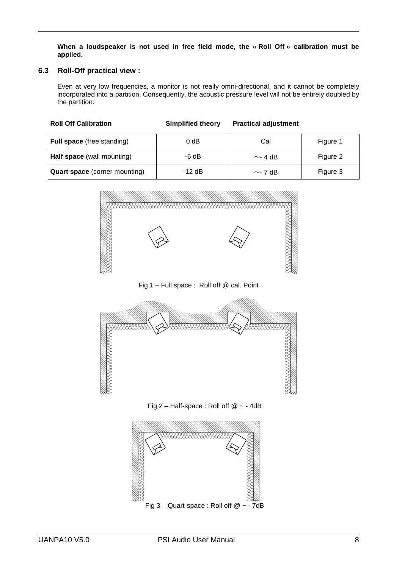**When a loudspeaker is not used in free field mode, the « Roll Off » calibration must be applied.**

#### **6.3 Roll-Off practical view :**

 $\overline{a}$ 

Even at very low frequencies, a monitor is not really omni-directional, and it cannot be completely incorporated into a partition. Consequently, the acoustic pressure level will not be entirely doubled by the partition.

| <b>Full space</b> (free standing) | 0 dB     | Cal           | Figure 1 |
|-----------------------------------|----------|---------------|----------|
| <b>Half space</b> (wall mounting) | -6 dB    | $\sim$ - 4 dB | Figure 2 |
| Quart space (corner mounting)     | $-12$ dB | $\sim$ - 7 dB | Figure 3 |



Fig 1 – Full space : Roll off @ cal. Point





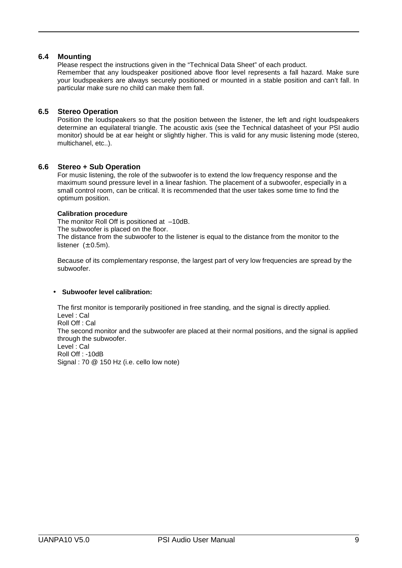### **6.4 Mounting**

 $\overline{a}$ 

Please respect the instructions given in the "Technical Data Sheet" of each product. Remember that any loudspeaker positioned above floor level represents a fall hazard. Make sure your loudspeakers are always securely positioned or mounted in a stable position and can't fall. In particular make sure no child can make them fall.

### **6.5 Stereo Operation**

Position the loudspeakers so that the position between the listener, the left and right loudspeakers determine an equilateral triangle. The acoustic axis (see the Technical datasheet of your PSI audio monitor) should be at ear height or slightly higher. This is valid for any music listening mode (stereo, multichanel, etc..).

#### **6.6 Stereo + Sub Operation**

For music listening, the role of the subwoofer is to extend the low frequency response and the maximum sound pressure level in a linear fashion. The placement of a subwoofer, especially in a small control room, can be critical. It is recommended that the user takes some time to find the optimum position.

#### **Calibration procedure**

The monitor Roll Off is positioned at –10dB. The subwoofer is placed on the floor. The distance from the subwoofer to the listener is equal to the distance from the monitor to the listener  $(\pm 0.5m)$ .

Because of its complementary response, the largest part of very low frequencies are spread by the subwoofer.

#### • **Subwoofer level calibration:**

The first monitor is temporarily positioned in free standing, and the signal is directly applied. Level : Cal Roll Off : Cal The second monitor and the subwoofer are placed at their normal positions, and the signal is applied through the subwoofer. Level : Cal Roll Off : -10dB Signal : 70 @ 150 Hz (i.e. cello low note)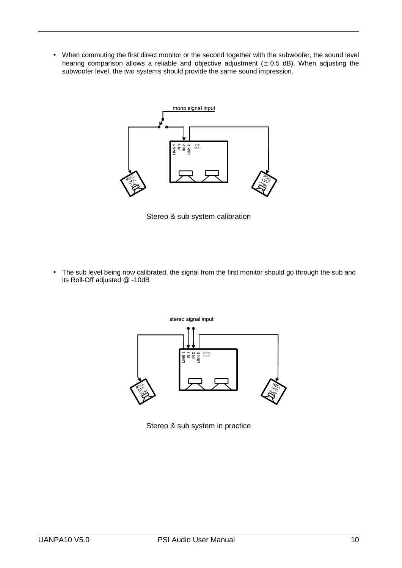• When commuting the first direct monitor or the second together with the subwoofer, the sound level hearing comparison allows a reliable and objective adjustment  $(± 0.5 dB)$ . When adjusting the subwoofer level, the two systems should provide the same sound impression.



Stereo & sub system calibration

• The sub level being now calibrated, the signal from the first monitor should go through the sub and its Roll-Off adjusted @ -10dB



Stereo & sub system in practice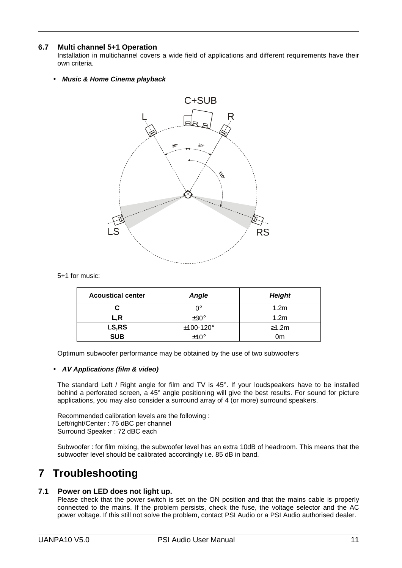## **6.7 Multi channel 5+1 Operation**

 $\overline{a}$ 

Installation in multichannel covers a wide field of applications and different requirements have their own criteria.

• **Music & Home Cinema playback**



#### 5+1 for music:

| <b>Acoustical center</b> | <b>Angle</b>   | <b>Height</b>    |
|--------------------------|----------------|------------------|
|                          | ∩∘             | 1.2 <sub>m</sub> |
| L,R                      | $\pm 30^\circ$ | 1.2 <sub>m</sub> |
| LS,RS                    | $±100-120°$    | $\geq 1.2m$      |
| <b>SUB</b>               | $+10^{\circ}$  | 0m               |

Optimum subwoofer performance may be obtained by the use of two subwoofers

#### • **AV Applications (film & video)**

The standard Left / Right angle for film and TV is 45°. If your loudspeakers have to be installed behind a perforated screen, a 45° angle positioning will give the best results. For sound for picture applications, you may also consider a surround array of 4 (or more) surround speakers.

Recommended calibration levels are the following : Left/right/Center : 75 dBC per channel Surround Speaker : 72 dBC each

Subwoofer : for film mixing, the subwoofer level has an extra 10dB of headroom. This means that the subwoofer level should be calibrated accordingly i.e. 85 dB in band.

# **7 Troubleshooting**

## **7.1 Power on LED does not light up.**

Please check that the power switch is set on the ON position and that the mains cable is properly connected to the mains. If the problem persists, check the fuse, the voltage selector and the AC power voltage. If this still not solve the problem, contact PSI Audio or a PSI Audio authorised dealer.